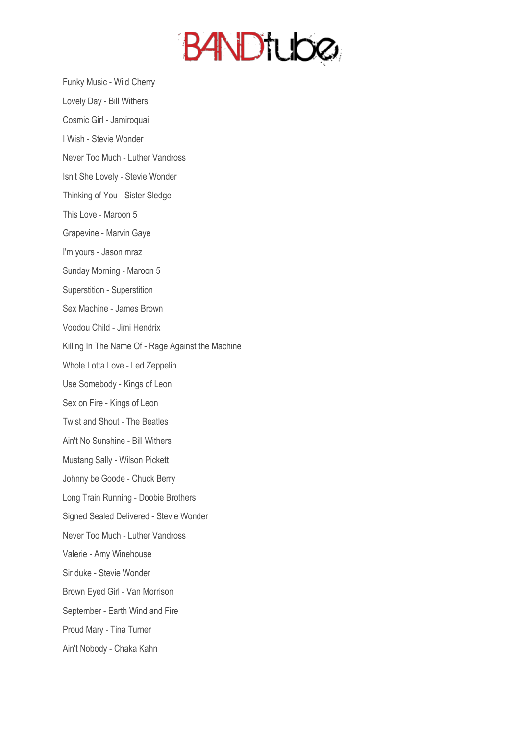

Funky Music - Wild Cherry

Lovely Day - Bill Withers

Cosmic Girl - Jamiroquai

I Wish - Stevie Wonder

Never Too Much - Luther Vandross

Isn't She Lovely - Stevie Wonder

Thinking of You - Sister Sledge

This Love - Maroon 5

Grapevine - Marvin Gaye

I'm yours - Jason mraz

Sunday Morning - Maroon 5

Superstition - Superstition

Sex Machine - James Brown

Voodou Child - Jimi Hendrix

Killing In The Name Of - Rage Against the Machine

Whole Lotta Love - Led Zeppelin

Use Somebody - Kings of Leon

Sex on Fire - Kings of Leon

Twist and Shout - The Beatles

Ain't No Sunshine - Bill Withers

Mustang Sally - Wilson Pickett

Johnny be Goode - Chuck Berry

Long Train Running - Doobie Brothers

Signed Sealed Delivered - Stevie Wonder

Never Too Much - Luther Vandross

Valerie - Amy Winehouse

Sir duke - Stevie Wonder

Brown Eyed Girl - Van Morrison

September - Earth Wind and Fire

Proud Mary - Tina Turner

Ain't Nobody - Chaka Kahn